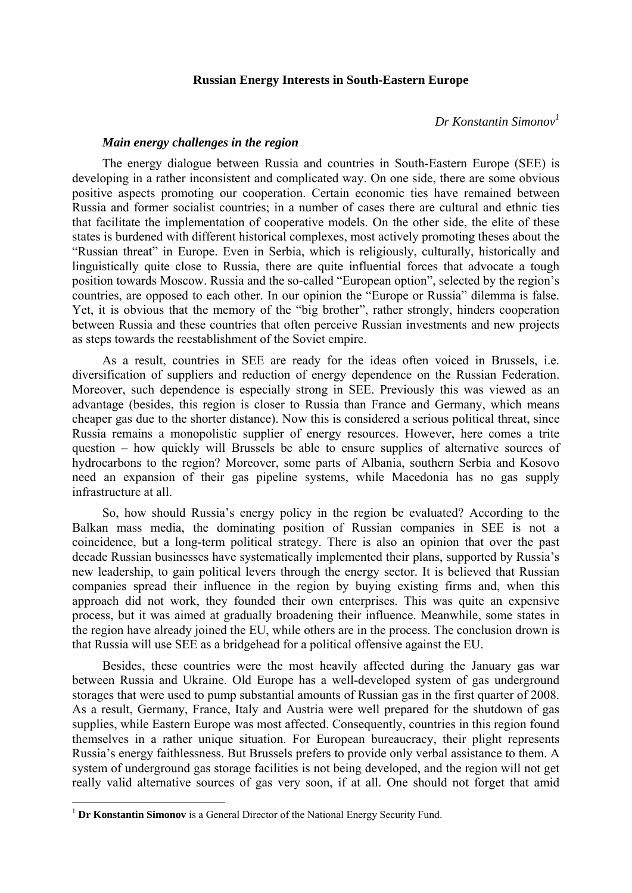## **Russian Energy Interests in South-Eastern Europe**

*Dr Konstantin Simonov1*

## *Main energy challenges in the region*

The energy dialogue between Russia and countries in South-Eastern Europe (SEE) is developing in a rather inconsistent and complicated way. On one side, there are some obvious positive aspects promoting our cooperation. Certain economic ties have remained between Russia and former socialist countries; in a number of cases there are cultural and ethnic ties that facilitate the implementation of cooperative models. On the other side, the elite of these states is burdened with different historical complexes, most actively promoting theses about the "Russian threat" in Europe. Even in Serbia, which is religiously, culturally, historically and linguistically quite close to Russia, there are quite influential forces that advocate a tough position towards Moscow. Russia and the so-called "European option", selected by the region's countries, are opposed to each other. In our opinion the "Europe or Russia" dilemma is false. Yet, it is obvious that the memory of the "big brother", rather strongly, hinders cooperation between Russia and these countries that often perceive Russian investments and new projects as steps towards the reestablishment of the Soviet empire.

As a result, countries in SEE are ready for the ideas often voiced in Brussels, i.e. diversification of suppliers and reduction of energy dependence on the Russian Federation. Moreover, such dependence is especially strong in SEE. Previously this was viewed as an advantage (besides, this region is closer to Russia than France and Germany, which means cheaper gas due to the shorter distance). Now this is considered a serious political threat, since Russia remains a monopolistic supplier of energy resources. However, here comes a trite question – how quickly will Brussels be able to ensure supplies of alternative sources of hydrocarbons to the region? Moreover, some parts of Albania, southern Serbia and Kosovo need an expansion of their gas pipeline systems, while Macedonia has no gas supply infrastructure at all.

So, how should Russia's energy policy in the region be evaluated? According to the Balkan mass media, the dominating position of Russian companies in SEE is not a coincidence, but a long-term political strategy. There is also an opinion that over the past decade Russian businesses have systematically implemented their plans, supported by Russia's new leadership, to gain political levers through the energy sector. It is believed that Russian companies spread their influence in the region by buying existing firms and, when this approach did not work, they founded their own enterprises. This was quite an expensive process, but it was aimed at gradually broadening their influence. Meanwhile, some states in the region have already joined the EU, while others are in the process. The conclusion drown is that Russia will use SEE as a bridgehead for a political offensive against the EU.

Besides, these countries were the most heavily affected during the January gas war between Russia and Ukraine. Old Europe has a well-developed system of gas underground storages that were used to pump substantial amounts of Russian gas in the first quarter of 2008. As a result, Germany, France, Italy and Austria were well prepared for the shutdown of gas supplies, while Eastern Europe was most affected. Consequently, countries in this region found themselves in a rather unique situation. For European bureaucracy, their plight represents Russia's energy faithlessness. But Brussels prefers to provide only verbal assistance to them. A system of underground gas storage facilities is not being developed, and the region will not get really valid alternative sources of gas very soon, if at all. One should not forget that amid

 $\overline{a}$ 

<sup>&</sup>lt;sup>1</sup> Dr Konstantin Simonov is a General Director of the National Energy Security Fund.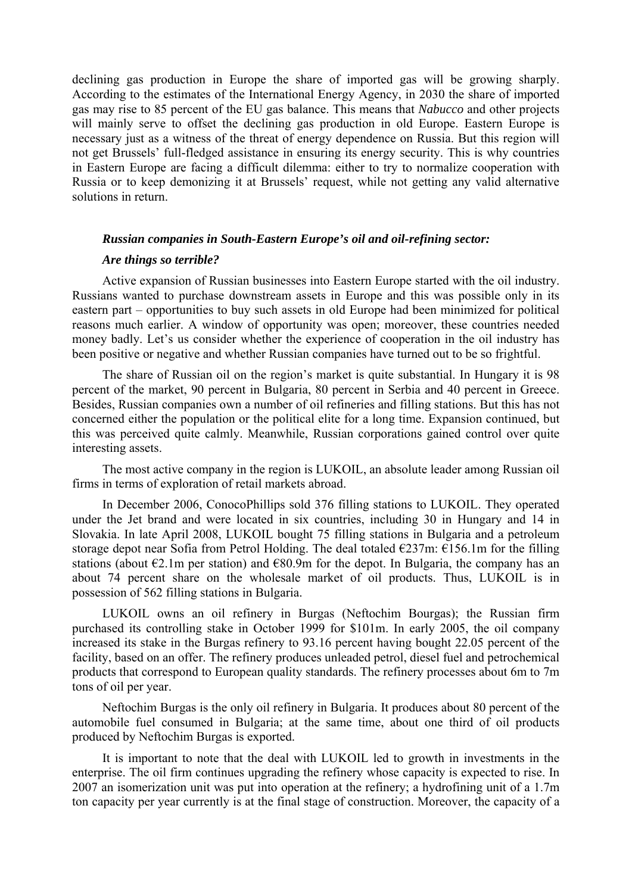declining gas production in Europe the share of imported gas will be growing sharply. According to the estimates of the International Energy Agency, in 2030 the share of imported gas may rise to 85 percent of the EU gas balance. This means that *Nabucco* and other projects will mainly serve to offset the declining gas production in old Europe. Eastern Europe is necessary just as a witness of the threat of energy dependence on Russia. But this region will not get Brussels' full-fledged assistance in ensuring its energy security. This is why countries in Eastern Europe are facing a difficult dilemma: either to try to normalize cooperation with Russia or to keep demonizing it at Brussels' request, while not getting any valid alternative solutions in return.

## *Russian companies in South-Eastern Europe's oil and oil-refining sector:*

### *Are things so terrible?*

Active expansion of Russian businesses into Eastern Europe started with the oil industry. Russians wanted to purchase downstream assets in Europe and this was possible only in its eastern part – opportunities to buy such assets in old Europe had been minimized for political reasons much earlier. A window of opportunity was open; moreover, these countries needed money badly. Let's us consider whether the experience of cooperation in the oil industry has been positive or negative and whether Russian companies have turned out to be so frightful.

The share of Russian oil on the region's market is quite substantial. In Hungary it is 98 percent of the market, 90 percent in Bulgaria, 80 percent in Serbia and 40 percent in Greece. Besides, Russian companies own a number of oil refineries and filling stations. But this has not concerned either the population or the political elite for a long time. Expansion continued, but this was perceived quite calmly. Meanwhile, Russian corporations gained control over quite interesting assets.

The most active company in the region is LUKOIL, an absolute leader among Russian oil firms in terms of exploration of retail markets abroad.

In December 2006, ConocoPhillips sold 376 filling stations to LUKOIL. They operated under the Jet brand and were located in six countries, including 30 in Hungary and 14 in Slovakia. In late April 2008, LUKOIL bought 75 filling stations in Bulgaria and a petroleum storage depot near Sofia from Petrol Holding. The deal totaled €237m: €156.1m for the filling stations (about  $\epsilon$ 2.1m per station) and  $\epsilon$ 80.9m for the depot. In Bulgaria, the company has an about 74 percent share on the wholesale market of oil products. Thus, LUKOIL is in possession of 562 filling stations in Bulgaria.

LUKOIL owns an oil refinery in Burgas (Neftochim Bourgas); the Russian firm purchased its controlling stake in October 1999 for \$101m. In early 2005, the oil company increased its stake in the Burgas refinery to 93.16 percent having bought 22.05 percent of the facility, based on an offer. The refinery produces unleaded petrol, diesel fuel and petrochemical products that correspond to European quality standards. The refinery processes about 6m to 7m tons of oil per year.

Neftochim Burgas is the only oil refinery in Bulgaria. It produces about 80 percent of the automobile fuel consumed in Bulgaria; at the same time, about one third of oil products produced by Neftochim Burgas is exported.

It is important to note that the deal with LUKOIL led to growth in investments in the enterprise. The oil firm continues upgrading the refinery whose capacity is expected to rise. In 2007 an isomerization unit was put into operation at the refinery; a hydrofining unit of a 1.7m ton capacity per year currently is at the final stage of construction. Moreover, the capacity of a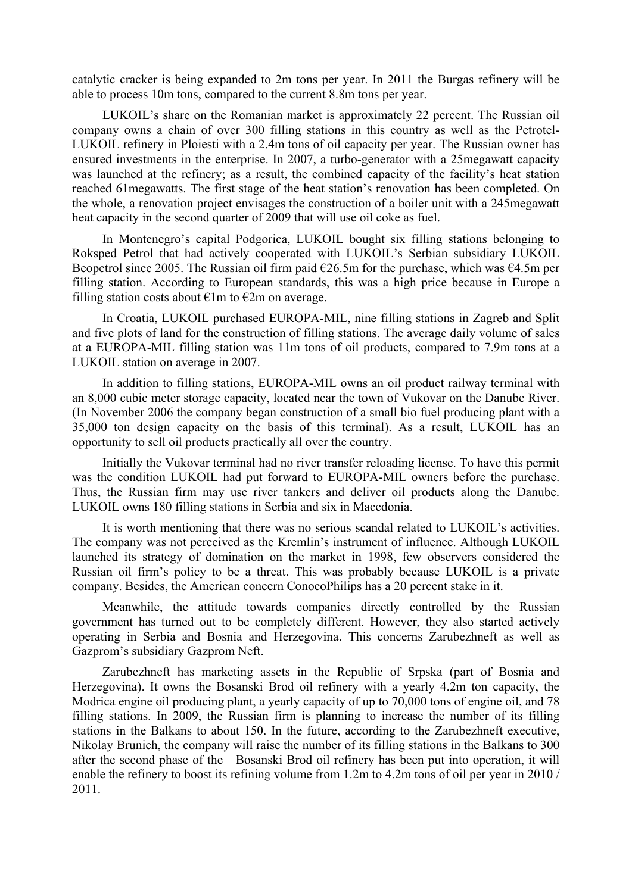catalytic cracker is being expanded to 2m tons per year. In 2011 the Burgas refinery will be able to process 10m tons, compared to the current 8.8m tons per year.

LUKOIL's share on the Romanian market is approximately 22 percent. The Russian oil company owns a chain of over 300 filling stations in this country as well as the Petrotel-LUKOIL refinery in Ploiesti with a 2.4m tons of oil capacity per year. The Russian owner has ensured investments in the enterprise. In 2007, a turbo-generator with a 25megawatt capacity was launched at the refinery; as a result, the combined capacity of the facility's heat station reached 61megawatts. The first stage of the heat station's renovation has been completed. On the whole, a renovation project envisages the construction of a boiler unit with a 245megawatt heat capacity in the second quarter of 2009 that will use oil coke as fuel.

In Montenegro's capital Podgorica, LUKOIL bought six filling stations belonging to Roksped Petrol that had actively cooperated with LUKOIL's Serbian subsidiary LUKOIL Beopetrol since 2005. The Russian oil firm paid  $\epsilon$ 26.5m for the purchase, which was  $\epsilon$ 4.5m per filling station. According to European standards, this was a high price because in Europe a filling station costs about  $\epsilon$ 1m to  $\epsilon$ 2m on average.

In Croatia, LUKOIL purchased EUROPA-MIL, nine filling stations in Zagreb and Split and five plots of land for the construction of filling stations. The average daily volume of sales at a EUROPA-MIL filling station was 11m tons of oil products, compared to 7.9m tons at a LUKOIL station on average in 2007.

In addition to filling stations, EUROPA-MIL owns an oil product railway terminal with an 8,000 cubic meter storage capacity, located near the town of Vukovar on the Danube River. (In November 2006 the company began construction of a small bio fuel producing plant with a 35,000 ton design capacity on the basis of this terminal). As a result, LUKOIL has an opportunity to sell oil products practically all over the country.

Initially the Vukovar terminal had no river transfer reloading license. To have this permit was the condition LUKOIL had put forward to EUROPA-MIL owners before the purchase. Thus, the Russian firm may use river tankers and deliver oil products along the Danube. LUKOIL owns 180 filling stations in Serbia and six in Macedonia.

It is worth mentioning that there was no serious scandal related to LUKOIL's activities. The company was not perceived as the Kremlin's instrument of influence. Although LUKOIL launched its strategy of domination on the market in 1998, few observers considered the Russian oil firm's policy to be a threat. This was probably because LUKOIL is a private company. Besides, the American concern ConocoPhilips has a 20 percent stake in it.

Meanwhile, the attitude towards companies directly controlled by the Russian government has turned out to be completely different. However, they also started actively operating in Serbia and Bosnia and Herzegovina. This concerns Zarubezhneft as well as Gazprom's subsidiary Gazprom Neft.

Zarubezhneft has marketing assets in the Republic of Srpska (part of Bosnia and Herzegovina). It owns the Bosanski Brod oil refinery with a yearly 4.2m ton capacity, the Modrica engine oil producing plant, a yearly capacity of up to 70,000 tons of engine oil, and 78 filling stations. In 2009, the Russian firm is planning to increase the number of its filling stations in the Balkans to about 150. In the future, according to the Zarubezhneft executive, Nikolay Brunich, the company will raise the number of its filling stations in the Balkans to 300 after the second phase of the Bosanski Brod oil refinery has been put into operation, it will enable the refinery to boost its refining volume from 1.2m to 4.2m tons of oil per year in 2010 / 2011.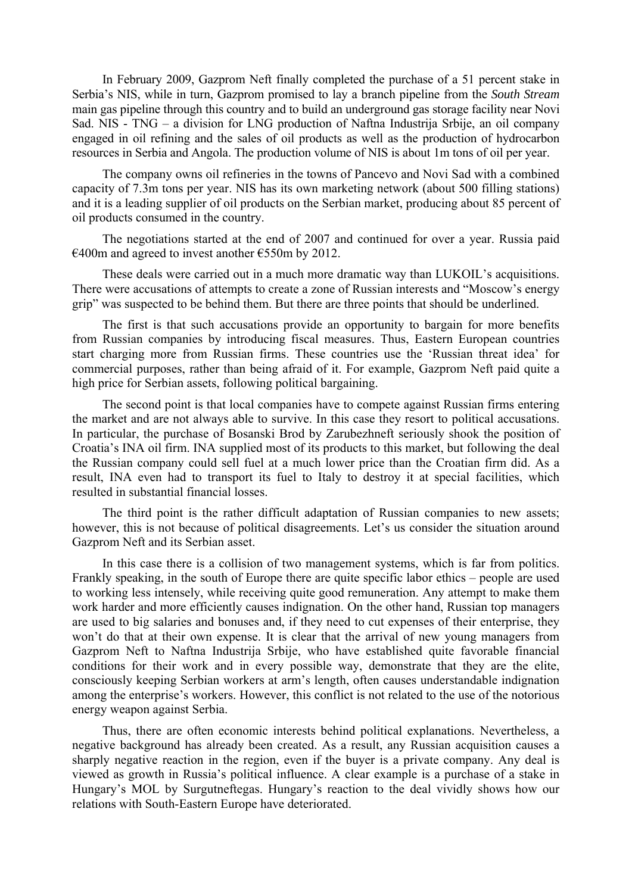In February 2009, Gazprom Neft finally completed the purchase of a 51 percent stake in Serbia's NIS, while in turn, Gazprom promised to lay a branch pipeline from the *South Stream* main gas pipeline through this country and to build an underground gas storage facility near Novi Sad. NIS - TNG – a division for LNG production of Naftna Industrija Srbije, an oil company engaged in oil refining and the sales of oil products as well as the production of hydrocarbon resources in Serbia and Angola. The production volume of NIS is about 1m tons of oil per year.

The company owns oil refineries in the towns of Pancevo and Novi Sad with a combined capacity of 7.3m tons per year. NIS has its own marketing network (about 500 filling stations) and it is a leading supplier of oil products on the Serbian market, producing about 85 percent of oil products consumed in the country.

The negotiations started at the end of 2007 and continued for over a year. Russia paid  $€400m$  and agreed to invest another  $€550m$  by 2012.

These deals were carried out in a much more dramatic way than LUKOIL's acquisitions. There were accusations of attempts to create a zone of Russian interests and "Moscow's energy grip" was suspected to be behind them. But there are three points that should be underlined.

The first is that such accusations provide an opportunity to bargain for more benefits from Russian companies by introducing fiscal measures. Thus, Eastern European countries start charging more from Russian firms. These countries use the 'Russian threat idea' for commercial purposes, rather than being afraid of it. For example, Gazprom Neft paid quite a high price for Serbian assets, following political bargaining.

The second point is that local companies have to compete against Russian firms entering the market and are not always able to survive. In this case they resort to political accusations. In particular, the purchase of Bosanski Brod by Zarubezhneft seriously shook the position of Croatia's INA oil firm. INA supplied most of its products to this market, but following the deal the Russian company could sell fuel at a much lower price than the Croatian firm did. As a result, INA even had to transport its fuel to Italy to destroy it at special facilities, which resulted in substantial financial losses.

The third point is the rather difficult adaptation of Russian companies to new assets; however, this is not because of political disagreements. Let's us consider the situation around Gazprom Neft and its Serbian asset.

In this case there is a collision of two management systems, which is far from politics. Frankly speaking, in the south of Europe there are quite specific labor ethics – people are used to working less intensely, while receiving quite good remuneration. Any attempt to make them work harder and more efficiently causes indignation. On the other hand, Russian top managers are used to big salaries and bonuses and, if they need to cut expenses of their enterprise, they won't do that at their own expense. It is clear that the arrival of new young managers from Gazprom Neft to Naftna Industrija Srbije, who have established quite favorable financial conditions for their work and in every possible way, demonstrate that they are the elite, consciously keeping Serbian workers at arm's length, often causes understandable indignation among the enterprise's workers. However, this conflict is not related to the use of the notorious energy weapon against Serbia.

Thus, there are often economic interests behind political explanations. Nevertheless, a negative background has already been created. As a result, any Russian acquisition causes a sharply negative reaction in the region, even if the buyer is a private company. Any deal is viewed as growth in Russia's political influence. A clear example is a purchase of a stake in Hungary's MOL by Surgutneftegas. Hungary's reaction to the deal vividly shows how our relations with South-Eastern Europe have deteriorated.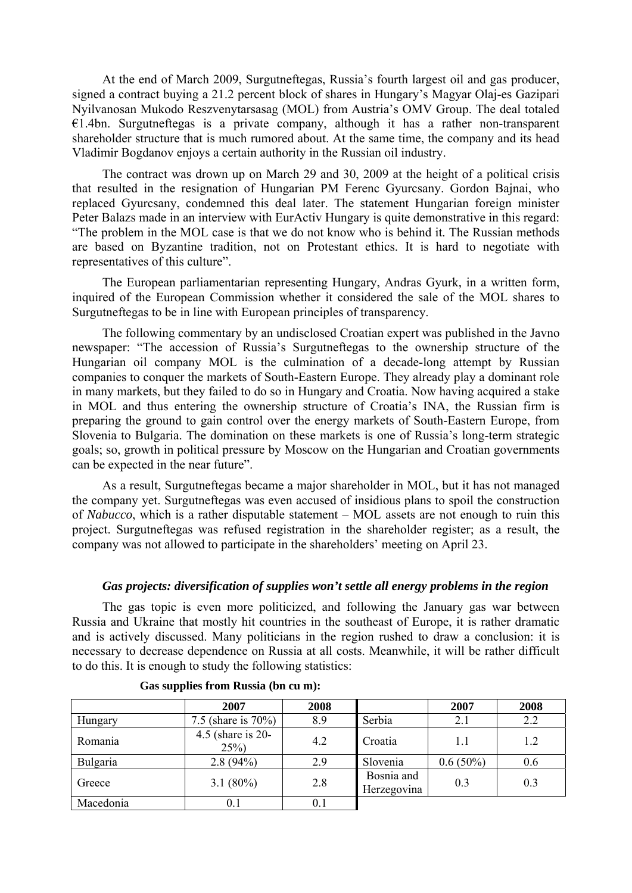At the end of March 2009, Surgutneftegas, Russia's fourth largest oil and gas producer, signed a contract buying a 21.2 percent block of shares in Hungary's Magyar Olaj-es Gazipari Nyilvanosan Mukodo Reszvenytarsasag (MOL) from Austria's OMV Group. The deal totaled  $E1.4$ bn. Surgutneftegas is a private company, although it has a rather non-transparent shareholder structure that is much rumored about. At the same time, the company and its head Vladimir Bogdanov enjoys a certain authority in the Russian oil industry.

The contract was drown up on March 29 and 30, 2009 at the height of a political crisis that resulted in the resignation of Hungarian PM Ferenc Gyurcsany. Gordon Bajnai, who replaced Gyurcsany, condemned this deal later. The statement Hungarian foreign minister Peter Balazs made in an interview with EurActiv Hungary is quite demonstrative in this regard: "The problem in the MOL case is that we do not know who is behind it. The Russian methods are based on Byzantine tradition, not on Protestant ethics. It is hard to negotiate with representatives of this culture".

The European parliamentarian representing Hungary, Andras Gyurk, in a written form, inquired of the European Commission whether it considered the sale of the MOL shares to Surgutneftegas to be in line with European principles of transparency.

The following commentary by an undisclosed Croatian expert was published in the Javno newspaper: "The accession of Russia's Surgutneftegas to the ownership structure of the Hungarian oil company MOL is the culmination of a decade-long attempt by Russian companies to conquer the markets of South-Eastern Europe. They already play a dominant role in many markets, but they failed to do so in Hungary and Croatia. Now having acquired a stake in MOL and thus entering the ownership structure of Croatia's INA, the Russian firm is preparing the ground to gain control over the energy markets of South-Eastern Europe, from Slovenia to Bulgaria. The domination on these markets is one of Russia's long-term strategic goals; so, growth in political pressure by Moscow on the Hungarian and Croatian governments can be expected in the near future".

As a result, Surgutneftegas became a major shareholder in MOL, but it has not managed the company yet. Surgutneftegas was even accused of insidious plans to spoil the construction of *Nabucco*, which is a rather disputable statement – MOL assets are not enough to ruin this project. Surgutneftegas was refused registration in the shareholder register; as a result, the company was not allowed to participate in the shareholders' meeting on April 23.

# *Gas projects: diversification of supplies won't settle all energy problems in the region*

The gas topic is even more politicized, and following the January gas war between Russia and Ukraine that mostly hit countries in the southeast of Europe, it is rather dramatic and is actively discussed. Many politicians in the region rushed to draw a conclusion: it is necessary to decrease dependence on Russia at all costs. Meanwhile, it will be rather difficult to do this. It is enough to study the following statistics:

|           | 2007                           | 2008    |                           | 2007        | 2008 |
|-----------|--------------------------------|---------|---------------------------|-------------|------|
| Hungary   | 7.5 (share is $70\%$ )         | 8.9     | Serbia                    | 2.1         | 2.2  |
| Romania   | 4.5 (share is $20-$<br>$25\%)$ | 4.2     | Croatia                   | 1.1         | 1.2  |
| Bulgaria  | $2.8(94\%)$                    | 2.9     | Slovenia                  | $0.6(50\%)$ | 0.6  |
| Greece    | 3.1 $(80\%)$                   | 2.8     | Bosnia and<br>Herzegovina | 0.3         | 0.3  |
| Macedonia | $\rm 0.1$                      | $0.1\,$ |                           |             |      |

|  | Gas supplies from Russia (bn cu m): |  |  |  |  |
|--|-------------------------------------|--|--|--|--|
|--|-------------------------------------|--|--|--|--|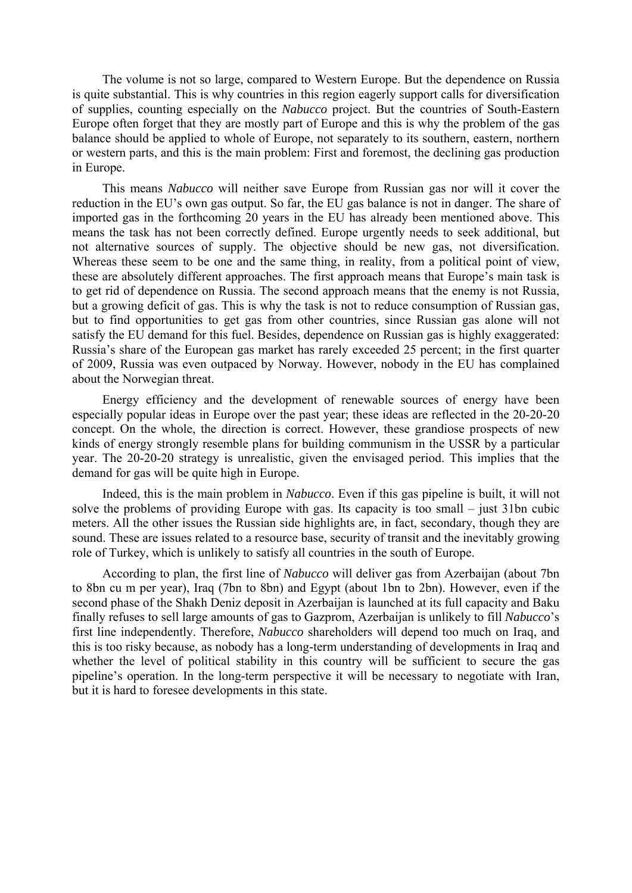The volume is not so large, compared to Western Europe. But the dependence on Russia is quite substantial. This is why countries in this region eagerly support calls for diversification of supplies, counting especially on the *Nabucco* project. But the countries of South-Eastern Europe often forget that they are mostly part of Europe and this is why the problem of the gas balance should be applied to whole of Europe, not separately to its southern, eastern, northern or western parts, and this is the main problem: First and foremost, the declining gas production in Europe.

This means *Nabucco* will neither save Europe from Russian gas nor will it cover the reduction in the EU's own gas output. So far, the EU gas balance is not in danger. The share of imported gas in the forthcoming 20 years in the EU has already been mentioned above. This means the task has not been correctly defined. Europe urgently needs to seek additional, but not alternative sources of supply. The objective should be new gas, not diversification. Whereas these seem to be one and the same thing, in reality, from a political point of view, these are absolutely different approaches. The first approach means that Europe's main task is to get rid of dependence on Russia. The second approach means that the enemy is not Russia, but a growing deficit of gas. This is why the task is not to reduce consumption of Russian gas, but to find opportunities to get gas from other countries, since Russian gas alone will not satisfy the EU demand for this fuel. Besides, dependence on Russian gas is highly exaggerated: Russia's share of the European gas market has rarely exceeded 25 percent; in the first quarter of 2009, Russia was even outpaced by Norway. However, nobody in the EU has complained about the Norwegian threat.

Energy efficiency and the development of renewable sources of energy have been especially popular ideas in Europe over the past year; these ideas are reflected in the 20-20-20 concept. On the whole, the direction is correct. However, these grandiose prospects of new kinds of energy strongly resemble plans for building communism in the USSR by a particular year. The 20-20-20 strategy is unrealistic, given the envisaged period. This implies that the demand for gas will be quite high in Europe.

Indeed, this is the main problem in *Nabucco*. Even if this gas pipeline is built, it will not solve the problems of providing Europe with gas. Its capacity is too small – just 31bn cubic meters. All the other issues the Russian side highlights are, in fact, secondary, though they are sound. These are issues related to a resource base, security of transit and the inevitably growing role of Turkey, which is unlikely to satisfy all countries in the south of Europe.

According to plan, the first line of *Nabucco* will deliver gas from Azerbaijan (about 7bn to 8bn cu m per year), Iraq (7bn to 8bn) and Egypt (about 1bn to 2bn). However, even if the second phase of the Shakh Deniz deposit in Azerbaijan is launched at its full capacity and Baku finally refuses to sell large amounts of gas to Gazprom, Azerbaijan is unlikely to fill *Nabucco*'s first line independently. Therefore, *Nabucco* shareholders will depend too much on Iraq, and this is too risky because, as nobody has a long-term understanding of developments in Iraq and whether the level of political stability in this country will be sufficient to secure the gas pipeline's operation. In the long-term perspective it will be necessary to negotiate with Iran, but it is hard to foresee developments in this state.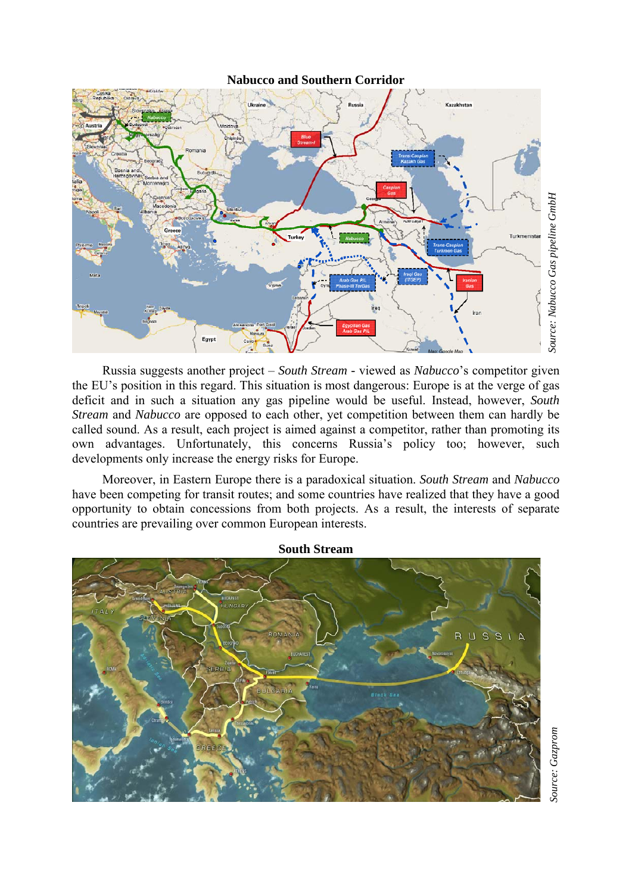**Nabucco and Southern Corridor**



Russia suggests another project – *South Stream -* viewed as *Nabucco*'s competitor given the EU's position in this regard. This situation is most dangerous: Europe is at the verge of gas deficit and in such a situation any gas pipeline would be useful. Instead, however, *South Stream* and *Nabucco* are opposed to each other, yet competition between them can hardly be called sound. As a result, each project is aimed against a competitor, rather than promoting its own advantages. Unfortunately, this concerns Russia's policy too; however, such developments only increase the energy risks for Europe.

Moreover, in Eastern Europe there is a paradoxical situation. *South Stream* and *Nabucco* have been competing for transit routes; and some countries have realized that they have a good opportunity to obtain concessions from both projects. As a result, the interests of separate countries are prevailing over common European interests.

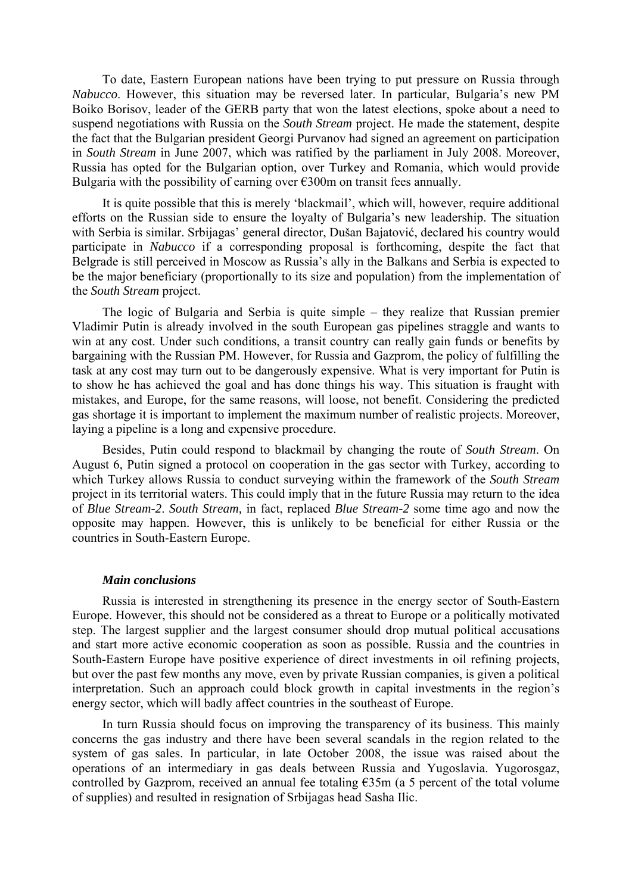To date, Eastern European nations have been trying to put pressure on Russia through *Nabucco*. However, this situation may be reversed later. In particular, Bulgaria's new PM Boiko Borisov, leader of the GERB party that won the latest elections, spoke about a need to suspend negotiations with Russia on the *South Stream* project. He made the statement, despite the fact that the Bulgarian president Georgi Purvanov had signed an agreement on participation in *South Stream* in June 2007, which was ratified by the parliament in July 2008. Moreover, Russia has opted for the Bulgarian option, over Turkey and Romania, which would provide Bulgaria with the possibility of earning over  $\epsilon$ 300m on transit fees annually.

It is quite possible that this is merely 'blackmail', which will, however, require additional efforts on the Russian side to ensure the loyalty of Bulgaria's new leadership. The situation with Serbia is similar. Srbijagas' general director, Dušan Bajatović, declared his country would participate in *Nabucco* if a corresponding proposal is forthcoming, despite the fact that Belgrade is still perceived in Moscow as Russia's ally in the Balkans and Serbia is expected to be the major beneficiary (proportionally to its size and population) from the implementation of the *South Stream* project.

The logic of Bulgaria and Serbia is quite simple – they realize that Russian premier Vladimir Putin is already involved in the south European gas pipelines straggle and wants to win at any cost. Under such conditions, a transit country can really gain funds or benefits by bargaining with the Russian PM. However, for Russia and Gazprom, the policy of fulfilling the task at any cost may turn out to be dangerously expensive. What is very important for Putin is to show he has achieved the goal and has done things his way. This situation is fraught with mistakes, and Europe, for the same reasons, will loose, not benefit. Considering the predicted gas shortage it is important to implement the maximum number of realistic projects. Moreover, laying a pipeline is a long and expensive procedure.

Besides, Putin could respond to blackmail by changing the route of *South Stream*. On August 6, Putin signed a protocol on cooperation in the gas sector with Turkey, according to which Turkey allows Russia to conduct surveying within the framework of the *South Stream* project in its territorial waters. This could imply that in the future Russia may return to the idea of *Blue Stream-2*. *South Stream,* in fact, replaced *Blue Stream-2* some time ago and now the opposite may happen. However, this is unlikely to be beneficial for either Russia or the countries in South-Eastern Europe.

#### *Main conclusions*

Russia is interested in strengthening its presence in the energy sector of South-Eastern Europe. However, this should not be considered as a threat to Europe or a politically motivated step. The largest supplier and the largest consumer should drop mutual political accusations and start more active economic cooperation as soon as possible. Russia and the countries in South-Eastern Europe have positive experience of direct investments in oil refining projects, but over the past few months any move, even by private Russian companies, is given a political interpretation. Such an approach could block growth in capital investments in the region's energy sector, which will badly affect countries in the southeast of Europe.

In turn Russia should focus on improving the transparency of its business. This mainly concerns the gas industry and there have been several scandals in the region related to the system of gas sales. In particular, in late October 2008, the issue was raised about the operations of an intermediary in gas deals between Russia and Yugoslavia. Yugorosgaz, controlled by Gazprom, received an annual fee totaling €35m (a 5 percent of the total volume of supplies) and resulted in resignation of Srbijagas head Sasha Ilic.